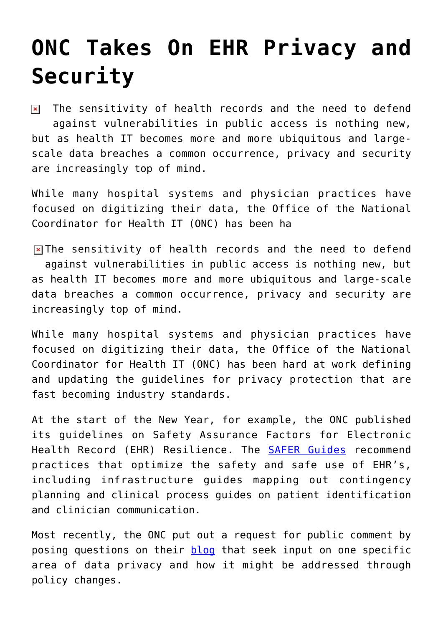## **[ONC Takes On EHR Privacy and](https://www.cns-inc.com/insights/thought-leadership/onc-takes-on-ehr-privacy-and-security/) [Security](https://www.cns-inc.com/insights/thought-leadership/onc-takes-on-ehr-privacy-and-security/)**

The sensitivity of health records and the need to defend  $\pmb{\times}$ against vulnerabilities in public access is nothing new, but as health IT becomes more and more ubiquitous and largescale data breaches a common occurrence, privacy and security are increasingly top of mind.

While many hospital systems and physician practices have focused on digitizing their data, the Office of the National Coordinator for Health IT (ONC) has been ha

 $\triangleright$  The sensitivity of health records and the need to defend against vulnerabilities in public access is nothing new, but as health IT becomes more and more ubiquitous and large-scale data breaches a common occurrence, privacy and security are increasingly top of mind.

While many hospital systems and physician practices have focused on digitizing their data, the Office of the National Coordinator for Health IT (ONC) has been hard at work defining and updating the guidelines for privacy protection that are fast becoming industry standards.

At the start of the New Year, for example, the ONC published its guidelines on Safety Assurance Factors for Electronic Health Record (EHR) Resilience. The [SAFER Guides](http://www.healthit.gov/policy-researchers-implementers/safer) recommend practices that optimize the safety and safe use of EHR's, including infrastructure guides mapping out contingency planning and clinical process guides on patient identification and clinician communication.

Most recently, the ONC put out a request for public comment by posing questions on their [blog](http://www.healthit.gov/buzz-blog/privacy-and-security-of-ehrs/seeking-input-personal-representatives/) that seek input on one specific area of data privacy and how it might be addressed through policy changes.